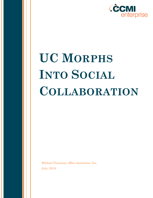

# **UC MORPHS INTO SOCIAL COLLABORATION**

Michael Finneran, dBrn Associates, Inc. July, 2016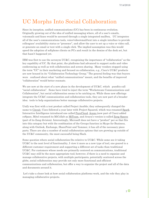# UC Morphs Into Social Collaboration

Since its inception, unified communications (UC) has been in continuous evolution. Originally growing out of the idea of unified messaging where, all of a user's emails, voicemails and faxes would be accessed through a single integrated mailbox, UC integrates all of the user's communications tools, voice/video/email/text into a single interface to provide colleagues' availability status or "presence", and allow the user to set up a voice or video call, or generate an email or text with a single click. The implied assumption was this would speed the adoption of softphone clients on PCs and result in the demise of the desk set, but that hasn't happened yet.

IBM was first to use the acronym UC&C, recognizing the importance of "collaboration" as the key capability of UC. By that point, the platforms had advanced to support audio and video conferencing as well as web collaboration and screen sharing. Many vendors stopped using the term "UC" in their marketing and focused on collaboration, e.g., Cisco's UC&C products are now housed in its "Collaboration Technology Group." The general feeling was that buyers were confused about what "unified communications" meant, and the benefits of improved "collaboration" would better resonate.

We are now at the start of a new phase in the development of UC&C, which pundits call "social collaboration". [Some have tried to inject the term "Workstream Communications and](http://www.nojitter.com/post/240170502/wcc-makes-communications-strategic-again)  [Collaboration",](http://www.nojitter.com/post/240170502/wcc-makes-communications-strategic-again) but social collaboration seems to be catching on. While these new offerings integrate the UC&C communication and collaboration tools, they are now part of a broader idea: tools to help organizations better manage collaborative projects.

Unify was first with a test product called Project Ansible; they subsequently changed the name to [Circuit.](https://www.circuit.com/) Cisco followed a year later with Project Squared, which was renamed [Spark.](https://www.ciscospark.com/) Interactive Intelligence introduced one called [PureCloud,](https://www.inin.com/solutions/purecloud-platform) [Acano \(](https://www.acano.com/enterprise-products/)now part of Cisco) added coSpace, Mitel renamed its MiCollab as [MiTeam,](http://www.mitel.com/products/cloud/micloud-office/miteam-collaboration-software-na) and Avaya's version is called [Zang Spaces](http://www.zang.io/) (part of its Zang division). Interestingly, Microsoft does not have a "product" per se that fits into this category but with the combination of the Groups function in Skype for Business, along with Outlook, Exchange, SharePoint and Yammer, it has all of the necessary piece parts. There are also a number of social collaboration options that are growing up outside of the UC&C community, the most successful being Slack.

Some question where social collaboration fits relative to UC&C. While some see it taking UC&C to the next level of functionality, I view it more as a new type of tool, one geared to a different customer requirement and supporting a different set of tasks than traditional UC&C. For customers whose needs are primarily centered on communications, traditional UC&C may still be the more appropriate tool; however, if there is a need to organize and manage collaborative projects, with multiple participants, potentially scattered across the globe, social collaboration may provide not only more functional and efficient communications and collaboration, but offer a way to organize the project and all of the data and documents around it.

Let's take a closer look at how social collaboration platforms work, and the role they play in managing collaborative projects.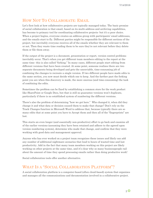# HOW NOT TO COLLABORATE: EMAIL

Let's first look at how collaborative projects are typically managed today. The basic premise of social collaboration is that email, based on its multi-address and archiving capabilities, has become to primary tool for coordinating collaborative projects- but it's a poor choice. When a project begins, everyone creates an address group with participants' email addresses, and the emails start to fly. Different parties might be responsible for different sections of the project, but inevitably everyone receives all of the emails whether they are relevant to them or not. Then they waste time reading them to be sure they're not relevant before they delete them or file them away.

If the output of the project is a document, presentation or report, version control problems inevitably occur. That's when you get different team members editing to the report at the same time- this is also called "forking." In many cases, different people start editing from different versions that have been created. At some point, someone realizes there are two separate documents being developed and gets the unenviable, time-consuming job of combining the changes to recreate a single version. If two different people have made edits to the same section, you now must decide which one to keep. And the farther past the forking point you are when this discovery is made, the more onerous (and time-consuming) the task of combining the edits.

Sometimes the problem can be fixed by establishing a common store for the work product like SharePoint or Google Docs, but that is still no guarantee versions won't duplicate, particularly if there is no established system of numbering the different versions.

There's also the problem of determining "how we got here." Who changed it, when did they change it and what data or decision caused them to make that change? Don't rely on the Track Changes function in Microsoft Word to address that, because typically there are so many edits that at some point you have to Accept them and then all of the "fingerprints" are lost.

This starts an even longer (and essentially non-productive) effort to go back and examine all of the earlier versions (assuming they have been retained and adhere to the agreed upon version numbering system), determine who made that change, and confirm that they were working with good data and management approval.

Anyone who has ever worked on a project team recognizes these issues and likely can add any number of additional nightmare scenarios that lead to hours of wasted time and lost productivity. Add in the fact that many team members working on this project are likely working on other projects at the same time, and it's clear why so many businesspeople rail about the amount of time they spend processing emails rather than doing productive work!

Social collaboration tools offer another alternative.

# WHAT IS A "SOCIAL COLLABORATION PLATFORM"?

A social collaboration platform is a computer-based (often cloud-based) system that organizes and manages all the communications and documentation involved in a collaborative project.

 $2$   $\odot$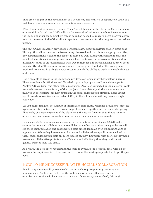That project might be the development of a document, presentation or report, or it could be a task like organizing a company's participation in a trade show.

When the project is initiated, a project "room" is established in the platform; Cisco and most others call it a "room", but Unify calls it a "conversation." All team members have access to the room, and other team members can be added as needed. Managers might be given access to all of the rooms of all of their direct reports so they can monitor the progress of the various projects.

The first UC&C capability provided is persistent chat, either individual chat or group chat. Through this, all parties see the issues being discussed and contribute as appropriate. Also, any documentation related to the project is stored as well. Along with persistent chat, the social collaboration client can provide one-click access to voice or video connections and to multiparty audio or videoconferences with web conference and screen sharing support. Most importantly, all of the communications relative to the project and all of the work product produced are stored in a single shared repository with the ability to track who made changes and when.

Users are able to access to the room from any device as long as they have network access. There are clients for Windows and Mac desktops and laptops, as well as mobile apps for Apple's iOS, Android, and other mobile platforms. Any user connected to the platform is able to switch between rooms for any of their projects. Since virtually all the communications involved in the projects are now housed in the social collaboration platform, users report significant decreases (i.e. on the order of 70%) in the volume of email they wade though every day.

As you might imagine, the amount of information from chats, reference documents, meeting agendas, meeting notes, and even recordings of the meetings themselves can be staggering. That's why one key component of the platform is the search function that allows users to quickly find any piece of supporting information with a quick keyword search.

In the end, UC&C and social collaboration solves two different problems. UC&C makes communications and collaboration more efficient and effective, and as time goes by, we will see those communication and collaboration tools embedded in an ever-expanding range of applications. While they have communication and collaboration capabilities embedded in them, social collaboration tools are more focused on providing users with the tools they need to execute collaborative projects more efficiently and effectively than they could be with general purpose tools like email.

As always, the keys are to understand the task, to evaluate the potential tools with an eye towards the requirements of that task, and to choose the most appropriate tool to get the job done.

## HOW TO BE SUCCESSFUL WITH SOCIAL COLLABORATION

As with any new capability, social collaboration tools require planning, training and management. The first key is to find the tools that work most effectively in your organization. As this will be a new experience to almost everyone involved, this might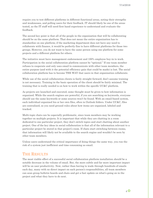require you to test different platforms in different functional areas, noting their strengths and weaknesses, and polling users for their feedback. IT should likely be one of the areas tested, as the IT staff will need first hand experience to understand and evaluate the feedback.

The second key point is that all of the people in the organization that will be collaborating should be on the same platform. That does not mean the entire organization has to standardize on one platform; if the marketing department does not have any need to collaborate with finance, it would be perfectly fine to have different platforms for those two groups. However, you do not want to have the same person using one platform for some projects and a different platform for others.

The initiative must have management endorsement and 100% employee buy-in to work. Participation in the social collaboration platform cannot be "optional." If one team member refuses to cooperate and only uses email to communicate with other team members, the entire purpose (and with it the potential efficiency gain that could be made) is lost. The social collaboration platform has to become THE WAY that users in that organization collaborate.

While use of the social collaboration clients is fairly straight forward, don't assume training is not necessary. Training in the basic operation of the client should be fairly minimal. The training that is really needed is on how to work within the specific UC&C platform.

As projects are launched and executed, some thought must be given to how information is organized. While the search engines are powerful, if you are searching on keywords, everyone should use the same keywords or some sources won't be found. With an email-based system, each individual organized his or her own files, often in Outlook folders. Under UC&C, files are centralized, so you need ground rules about how items are organized, labeled and tracked.

Multi-topic chats can be especially problematic, since team members may be working together on multiple projects. It is important that while they are chatting in a room dedicated to one particular project, they don't switch topics and start chatting about another project. One of the key ideas in social collaboration is that all of the information relevant to a particular project be stored in that project's room. If chats start switching between rooms, that information will likely not be available to the search engine and wouldn't be seen by other team members.

Unless users understand the critical importance of doing things the same way, you run the risk of a system just inefficient and time consuming as email.

#### THE RESULTS

The most visible effect of a successful social collaboration platform installation should be a notable decrease in the volume of email. But, the more subtle and far more important impact will be on user productivity. Now, rather than having to wade through hundreds of emails each day, many with no direct impact on each person's responsibilities, all team members can scan group bulletin boards and chats and get a fast update on what's going on in the project and what they have to do next.

 $4\,\circledcirc$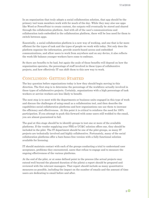In an organization that truly adopts a social collaboration solution, that app should be the primary tool team members work with for much of the day. While they may also use apps like Word or PowerPoint to create content, the outputs will eventually be stored and shared through the collaboration platform. And with all of the user's communications and collaboration tools embedded in the collaboration platform, there will be less need for them to switch between apps.

Essentially, a social collaboration platform is a new way of working, and one that is far more efficient for the types of task and the types of people we work with today. Not only does the platform organize the information, provide search-based access and embedded communications, and allow users to work from anywhere and on any device, it also reflects the work-life balance younger workers have come to embrace.

So there are benefits to be had, but again the scale of those benefits will depend on how the organization operates, the percentage of staff involved in these types of collaborative projects, and how effectively IT can shift them to this new way to work.

## CONCLUSION- GETTING STARTED

The key question before organizations today is how they should begin moving in this direction. The first step is to determine the percentage of the workforce actually involved in these types of collaborative projects. Certainly, organizations with a high percentage of task workers or service workers are less likely to benefit.

The next step is to meet with the departments or business units engaged in this type of work and discuss the challenges of using email as a collaboration tool, and then describe the capabilities social collaboration platforms and how organizations can use them to increase the efficiency and effectiveness. At this point it is critical to reinforce the need for 100% participation. If you attempt to push this forward with some users still wedded to the email, you are almost guaranteed to fail.

The goal at this stage should be to identify groups to test one or more of the available platforms. If the vendor supplying your PBX or UC&C solution offers one, they should be included in the pilot. The IT department should be one of the pilot groups, as many IT projects are technically involved and highly collaborative. Fortunately, many of the social collaboration platforms offer a bare-bones free version with a fully functional solution available for licensing.

IT should maintain contact with each of the groups conducting a trial to understand user acceptance, problems they encountered, users that refuse to engage and to measure the ongoing effectiveness of the various platforms.

At the end of the pilot, or at some defined point in the process (the actual projects may extend well beyond the planned duration of the pilots) a report should be prepared and reviewed with the relevant managers. That report should include as many quantitative measures as possible, including the impact on the number of emails and the amount of time users are dedicating to email before and after.

 $5<sup>o</sup>$